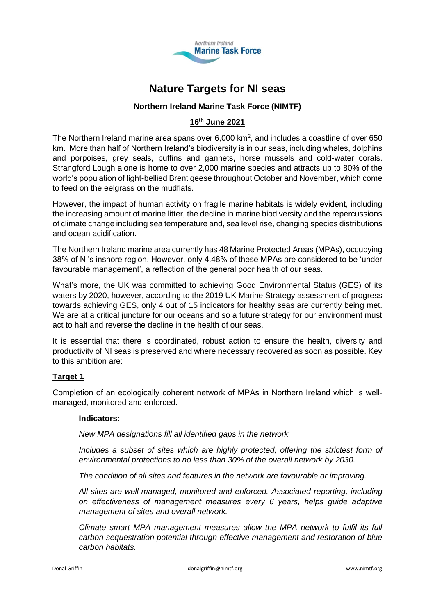

# **Nature Targets for NI seas**

# **Northern Ireland Marine Task Force (NIMTF)**

# **16th June 2021**

The Northern Ireland marine area spans over  $6,000$  km<sup>2</sup>, and includes a coastline of over 650 km. More than half of Northern Ireland's biodiversity is in our seas, including whales, dolphins and porpoises, grey seals, puffins and gannets, horse mussels and cold-water corals. Strangford Lough alone is home to over 2,000 marine species and attracts up to 80% of the world's population of light-bellied Brent geese throughout October and November, which come to feed on the eelgrass on the mudflats.

However, the impact of human activity on fragile marine habitats is widely evident, including the increasing amount of marine litter, the decline in marine biodiversity and the repercussions of climate change including sea temperature and, sea level rise, changing species distributions and ocean acidification.

The Northern Ireland marine area currently has 48 Marine Protected Areas (MPAs), occupying 38% of NI's inshore region. However, only 4.48% of these MPAs are considered to be 'under favourable management', a reflection of the general poor health of our seas.

What's more, the UK was committed to achieving Good Environmental Status (GES) of its waters by 2020, however, according to the 2019 UK Marine Strategy assessment of progress towards achieving GES, only 4 out of 15 indicators for healthy seas are currently being met. We are at a critical juncture for our oceans and so a future strategy for our environment must act to halt and reverse the decline in the health of our seas.

It is essential that there is coordinated, robust action to ensure the health, diversity and productivity of NI seas is preserved and where necessary recovered as soon as possible. Key to this ambition are:

## **Target 1**

Completion of an ecologically coherent network of MPAs in Northern Ireland which is wellmanaged, monitored and enforced.

## **Indicators:**

*New MPA designations fill all identified gaps in the network*

*Includes a subset of sites which are highly protected, offering the strictest form of environmental protections to no less than 30% of the overall network by 2030.*

*The condition of all sites and features in the network are favourable or improving.*

*All sites are well-managed, monitored and enforced. Associated reporting, including on effectiveness of management measures every 6 years, helps guide adaptive management of sites and overall network.*

*Climate smart MPA management measures allow the MPA network to fulfil its full carbon sequestration potential through effective management and restoration of blue carbon habitats.*